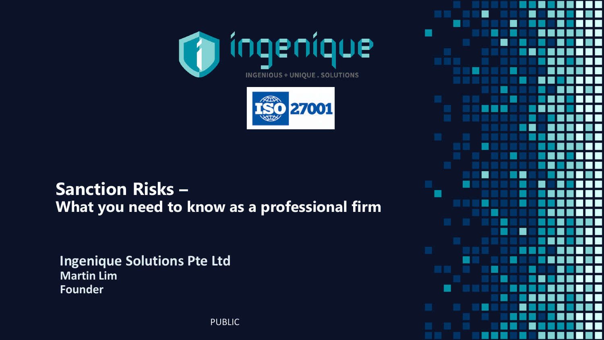



#### **Sanction Risks – What you need to know as a professional firm**

**Ingenique Solutions Pte Ltd Martin Lim Founder**

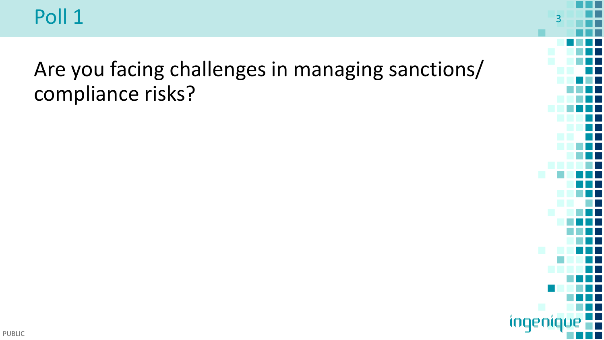

Are you facing challenges in managing sanctions/ compliance risks?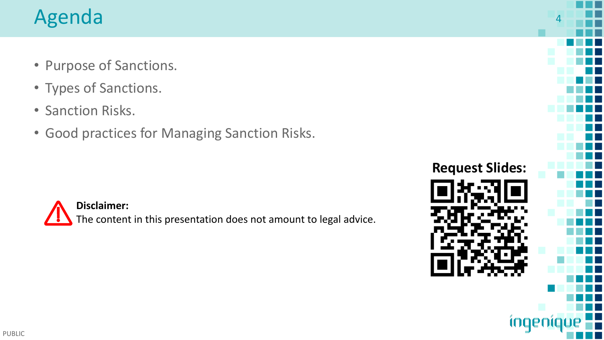- Purpose of Sanctions.
- Types of Sanctions.
- Sanction Risks.
- Good practices for Managing Sanction Risks.



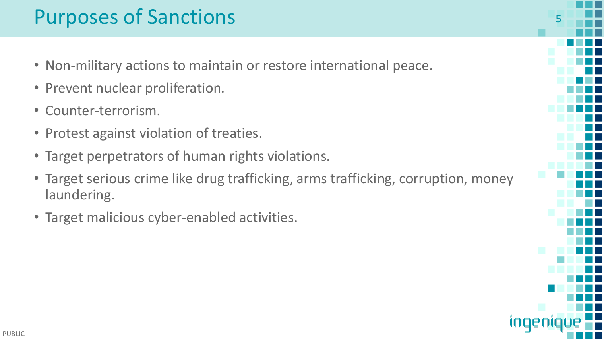#### Purposes of Sanctions

- Non-military actions to maintain or restore international peace.
- Prevent nuclear proliferation.
- Counter-terrorism.
- Protest against violation of treaties.
- Target perpetrators of human rights violations.
- Target serious crime like drug trafficking, arms trafficking, corruption, money laundering.
- Target malicious cyber-enabled activities.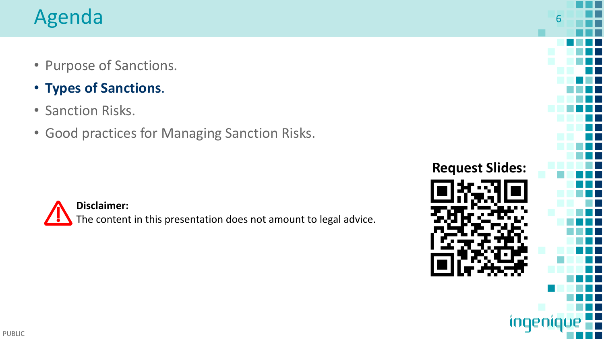- Purpose of Sanctions.
- **Types of Sanctions**.
- Sanction Risks.
- Good practices for Managing Sanction Risks.



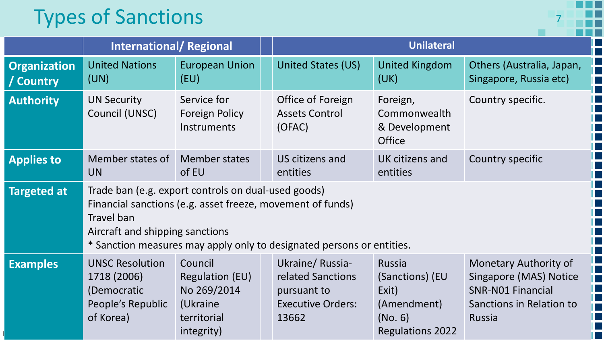# **Types of Sanctions**

|                                  |                                                                                                                                                                                                                                             |                                                                                           |  | <b>Unilateral</b>                                                                        |                                                                                         |                                                                                                                   |  |
|----------------------------------|---------------------------------------------------------------------------------------------------------------------------------------------------------------------------------------------------------------------------------------------|-------------------------------------------------------------------------------------------|--|------------------------------------------------------------------------------------------|-----------------------------------------------------------------------------------------|-------------------------------------------------------------------------------------------------------------------|--|
|                                  | <b>International/Regional</b>                                                                                                                                                                                                               |                                                                                           |  |                                                                                          |                                                                                         |                                                                                                                   |  |
| <b>Organization</b><br>/ Country | <b>United Nations</b><br>(UN)                                                                                                                                                                                                               | <b>European Union</b><br>(EU)                                                             |  | <b>United States (US)</b>                                                                | <b>United Kingdom</b><br>(UK)                                                           | Others (Australia, Japan,<br>Singapore, Russia etc)                                                               |  |
| <b>Authority</b>                 | <b>UN Security</b><br>Council (UNSC)                                                                                                                                                                                                        | Service for<br>Foreign Policy<br><b>Instruments</b>                                       |  | Office of Foreign<br><b>Assets Control</b><br>(OFAC)                                     | Foreign,<br>Commonwealth<br>& Development<br><b>Office</b>                              | Country specific.                                                                                                 |  |
| <b>Applies to</b>                | Member states of<br><b>UN</b>                                                                                                                                                                                                               | <b>Member states</b><br>of EU                                                             |  | US citizens and<br>entities                                                              | UK citizens and<br>entities                                                             | Country specific                                                                                                  |  |
| <b>Targeted at</b>               | Trade ban (e.g. export controls on dual-used goods)<br>Financial sanctions (e.g. asset freeze, movement of funds)<br>Travel ban<br>Aircraft and shipping sanctions<br>* Sanction measures may apply only to designated persons or entities. |                                                                                           |  |                                                                                          |                                                                                         |                                                                                                                   |  |
| <b>Examples</b>                  | <b>UNSC Resolution</b><br>1718 (2006)<br>(Democratic<br>People's Republic<br>of Korea)                                                                                                                                                      | Council<br><b>Regulation (EU)</b><br>No 269/2014<br>(Ukraine<br>territorial<br>integrity) |  | Ukraine/Russia-<br>related Sanctions<br>pursuant to<br><b>Executive Orders:</b><br>13662 | Russia<br>(Sanctions) (EU<br>Exit)<br>(Amendment)<br>(No. 6)<br><b>Regulations 2022</b> | Monetary Authority of<br>Singapore (MAS) Notice<br><b>SNR-NO1 Financial</b><br>Sanctions in Relation to<br>Russia |  |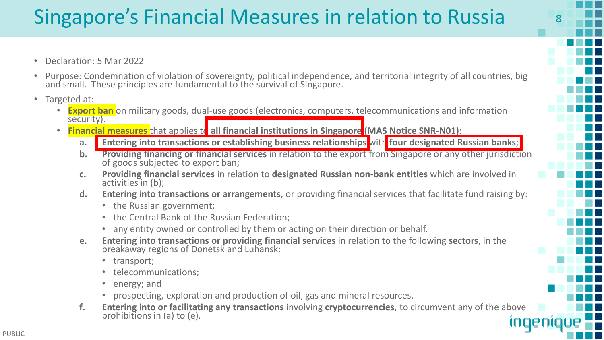# Singapore's Financial Measures in relation to Russia

- Declaration: 5 Mar 2022
- Purpose: Condemnation of violation of sovereignty, political independence, and territorial integrity of all countries, big and small. These principles are fundamental to the survival of Singapore.
- Targeted at:
	- **Export ban** on military goods, dual-use goods (electronics, computers, telecommunications and information security).
	- **Financial measures** that applies to all financial institutions in Singapore (MAS Notice SNR-N01):
		- **a. Entering into transactions or establishing business relationships** with **four designated Russian banks**;
		- **b. Providing financing or financial services** in relation to the export from Singapore or any other jurisdiction of goods subjected to export ban;
		- **c. Providing financial services** in relation to **designated Russian non-bank entities** which are involved in activities in (b);
		- **d. Entering into transactions or arrangements**, or providing financial services that facilitate fund raising by:
			- the Russian government;
			- the Central Bank of the Russian Federation;
			- any entity owned or controlled by them or acting on their direction or behalf.
		- **e. Entering into transactions or providing financial services** in relation to the following **sectors**, in the breakaway regions of Donetsk and Luhansk:
			- transport;
			- telecommunications;
			- energy; and
			- prospecting, exploration and production of oil, gas and mineral resources.
		- **f. Entering into or facilitating any transactions** involving **cryptocurrencies**, to circumvent any of the above prohibitions in (a) to (e). inger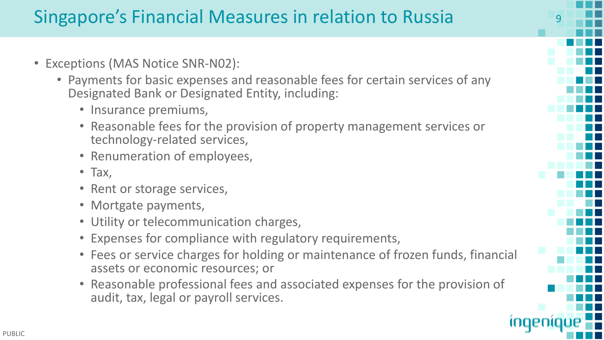#### Singapore's Financial Measures in relation to Russia 9

- Exceptions (MAS Notice SNR-N02):
	- Payments for basic expenses and reasonable fees for certain services of any Designated Bank or Designated Entity, including:
		- Insurance premiums,
		- Reasonable fees for the provision of property management services or technology-related services,
		- Renumeration of employees,
		- Tax,
		- Rent or storage services,
		- Mortgate payments,
		- Utility or telecommunication charges,
		- Expenses for compliance with regulatory requirements,
		- Fees or service charges for holding or maintenance of frozen funds, financial assets or economic resources; or
		- Reasonable professional fees and associated expenses for the provision of audit, tax, legal or payroll services.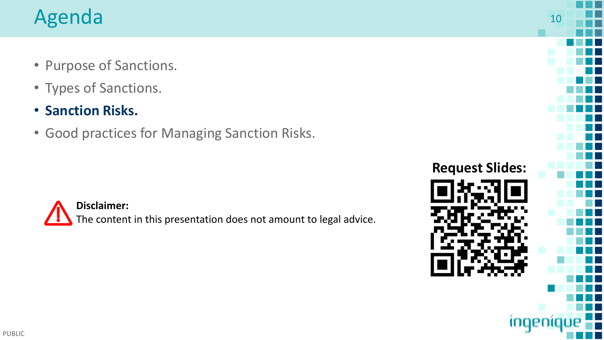- Purpose of Sanctions.
- Types of Sanctions.
- **Sanction Risks.**
- Good practices for Managing Sanction Risks.



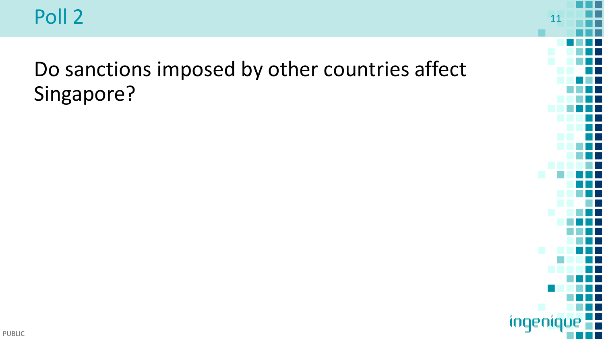Poll 2 and 11 and 2 11 and 2 in the set of the set of the set of the set of the set of the set of the set of the set of the set of the set of the set of the set of the set of the set of the set of the set of the set of the

# Do sanctions imposed by other countries affect Singapore?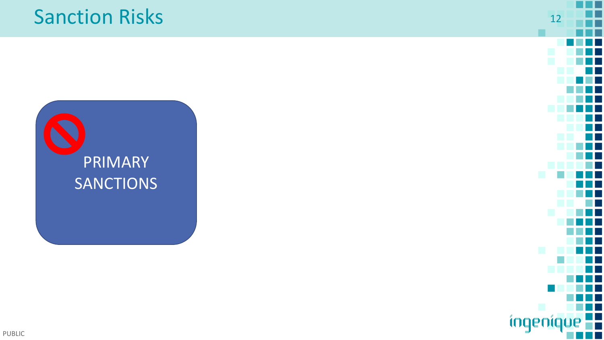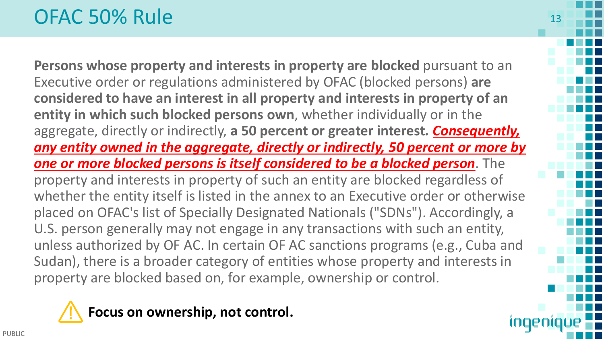#### OFAC 50% Rule

**Persons whose property and interests in property are blocked** pursuant to an Executive order or regulations administered by OFAC (blocked persons) **are considered to have an interest in all property and interests in property of an entity in which such blocked persons own**, whether individually or in the aggregate, directly or indirectly, **a 50 percent or greater interest***. Consequently, any entity owned in the aggregate, directly or indirectly, 50 percent or more by one or more blocked persons is itself considered to be a blocked person*. The property and interests in property of such an entity are blocked regardless of whether the entity itself is listed in the annex to an Executive order or otherwise placed on OFAC's list of Specially Designated Nationals ("SDNs"). Accordingly, a U.S. person generally may not engage in any transactions with such an entity, unless authorized by OF AC. In certain OF AC sanctions programs (e.g., Cuba and Sudan), there is a broader category of entities whose property and interests in property are blocked based on, for example, ownership or control.

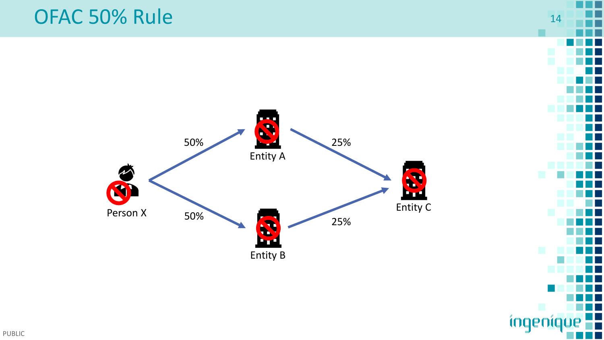

ingen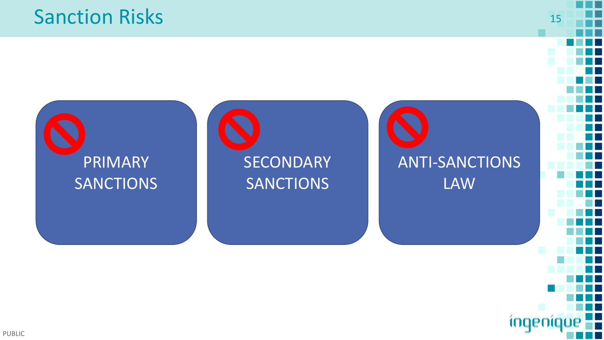#### Sanction Risks 15



inger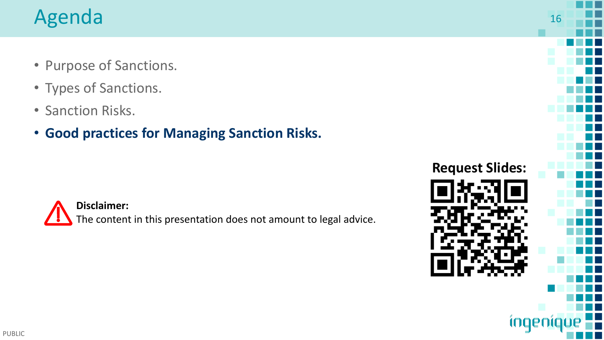- Purpose of Sanctions.
- Types of Sanctions.
- Sanction Risks.
- **Good practices for Managing Sanction Risks.**



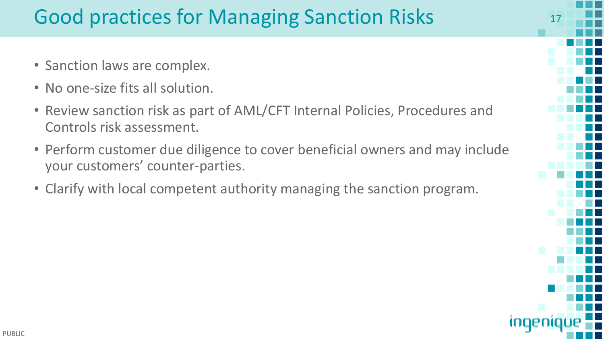# Good practices for Managing Sanction Risks

- Sanction laws are complex.
- No one-size fits all solution.
- Review sanction risk as part of AML/CFT Internal Policies, Procedures and Controls risk assessment.
- Perform customer due diligence to cover beneficial owners and may include your customers' counter-parties.
- Clarify with local competent authority managing the sanction program.